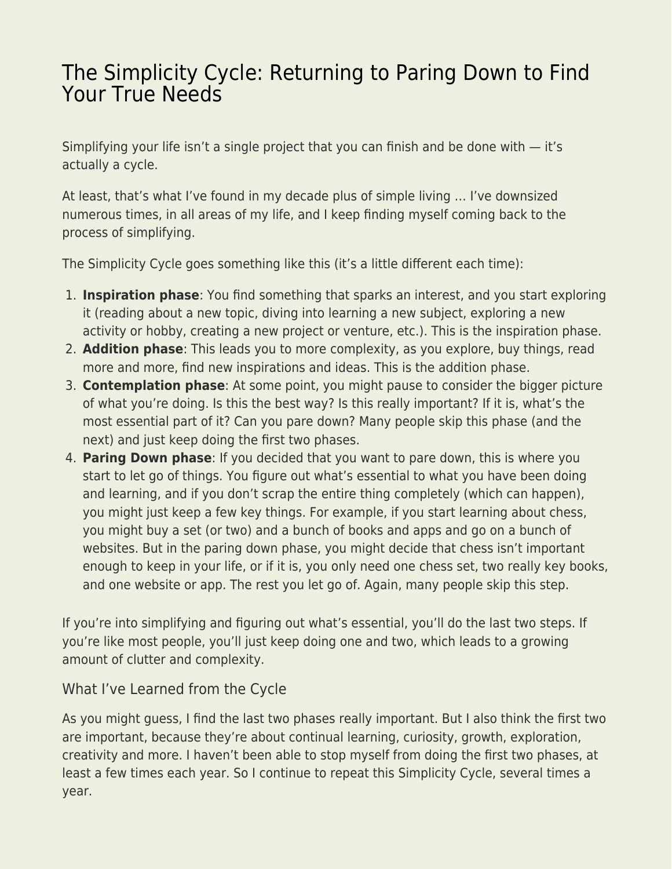## [The Simplicity Cycle: Returning to Paring Down to Find](https://everything-voluntary.com/simplicity-cycle-returning-paring-find-true-needs) [Your True Needs](https://everything-voluntary.com/simplicity-cycle-returning-paring-find-true-needs)

Simplifying your life isn't a single project that you can finish and be done with  $-$  it's actually a cycle.

At least, that's what I've found in my decade plus of simple living … I've downsized numerous times, in all areas of my life, and I keep finding myself coming back to the process of simplifying.

The Simplicity Cycle goes something like this (it's a little different each time):

- 1. **Inspiration phase**: You find something that sparks an interest, and you start exploring it (reading about a new topic, diving into learning a new subject, exploring a new activity or hobby, creating a new project or venture, etc.). This is the inspiration phase.
- 2. **Addition phase**: This leads you to more complexity, as you explore, buy things, read more and more, find new inspirations and ideas. This is the addition phase.
- 3. **Contemplation phase**: At some point, you might pause to consider the bigger picture of what you're doing. Is this the best way? Is this really important? If it is, what's the most essential part of it? Can you pare down? Many people skip this phase (and the next) and just keep doing the first two phases.
- 4. **Paring Down phase**: If you decided that you want to pare down, this is where you start to let go of things. You figure out what's essential to what you have been doing and learning, and if you don't scrap the entire thing completely (which can happen), you might just keep a few key things. For example, if you start learning about chess, you might buy a set (or two) and a bunch of books and apps and go on a bunch of websites. But in the paring down phase, you might decide that chess isn't important enough to keep in your life, or if it is, you only need one chess set, two really key books, and one website or app. The rest you let go of. Again, many people skip this step.

If you're into simplifying and figuring out what's essential, you'll do the last two steps. If you're like most people, you'll just keep doing one and two, which leads to a growing amount of clutter and complexity.

## What I've Learned from the Cycle

As you might guess, I find the last two phases really important. But I also think the first two are important, because they're about continual learning, curiosity, growth, exploration, creativity and more. I haven't been able to stop myself from doing the first two phases, at least a few times each year. So I continue to repeat this Simplicity Cycle, several times a year.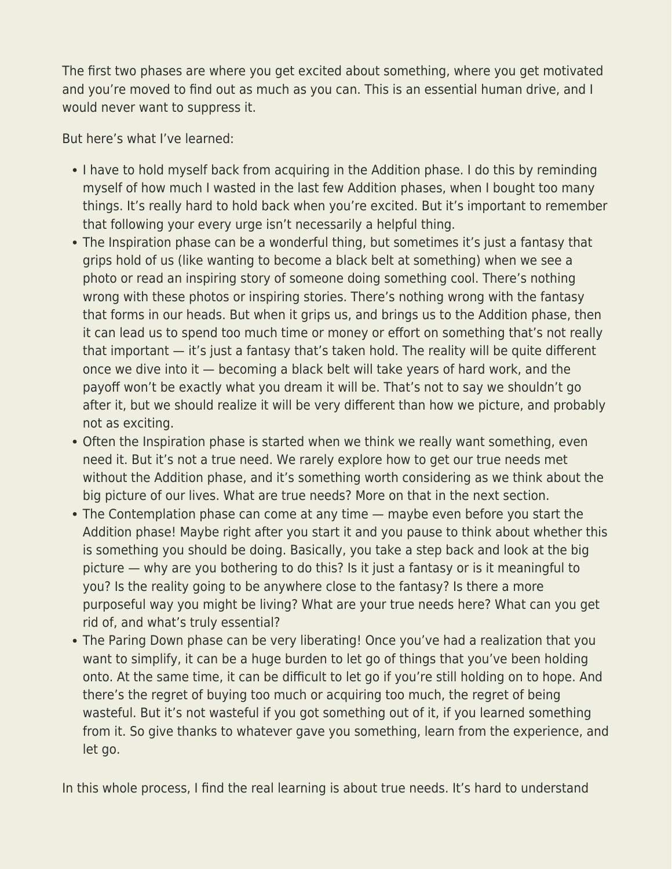The first two phases are where you get excited about something, where you get motivated and you're moved to find out as much as you can. This is an essential human drive, and I would never want to suppress it.

But here's what I've learned:

- I have to hold myself back from acquiring in the Addition phase. I do this by reminding myself of how much I wasted in the last few Addition phases, when I bought too many things. It's really hard to hold back when you're excited. But it's important to remember that following your every urge isn't necessarily a helpful thing.
- The Inspiration phase can be a wonderful thing, but sometimes it's just a fantasy that grips hold of us (like wanting to become a black belt at something) when we see a photo or read an inspiring story of someone doing something cool. There's nothing wrong with these photos or inspiring stories. There's nothing wrong with the fantasy that forms in our heads. But when it grips us, and brings us to the Addition phase, then it can lead us to spend too much time or money or effort on something that's not really that important — it's just a fantasy that's taken hold. The reality will be quite different once we dive into it — becoming a black belt will take years of hard work, and the payoff won't be exactly what you dream it will be. That's not to say we shouldn't go after it, but we should realize it will be very different than how we picture, and probably not as exciting.
- Often the Inspiration phase is started when we think we really want something, even need it. But it's not a true need. We rarely explore how to get our true needs met without the Addition phase, and it's something worth considering as we think about the big picture of our lives. What are true needs? More on that in the next section.
- The Contemplation phase can come at any time maybe even before you start the Addition phase! Maybe right after you start it and you pause to think about whether this is something you should be doing. Basically, you take a step back and look at the big picture — why are you bothering to do this? Is it just a fantasy or is it meaningful to you? Is the reality going to be anywhere close to the fantasy? Is there a more purposeful way you might be living? What are your true needs here? What can you get rid of, and what's truly essential?
- The Paring Down phase can be very liberating! Once you've had a realization that you want to simplify, it can be a huge burden to let go of things that you've been holding onto. At the same time, it can be difficult to let go if you're still holding on to hope. And there's the regret of buying too much or acquiring too much, the regret of being wasteful. But it's not wasteful if you got something out of it, if you learned something from it. So give thanks to whatever gave you something, learn from the experience, and let go.

In this whole process, I find the real learning is about true needs. It's hard to understand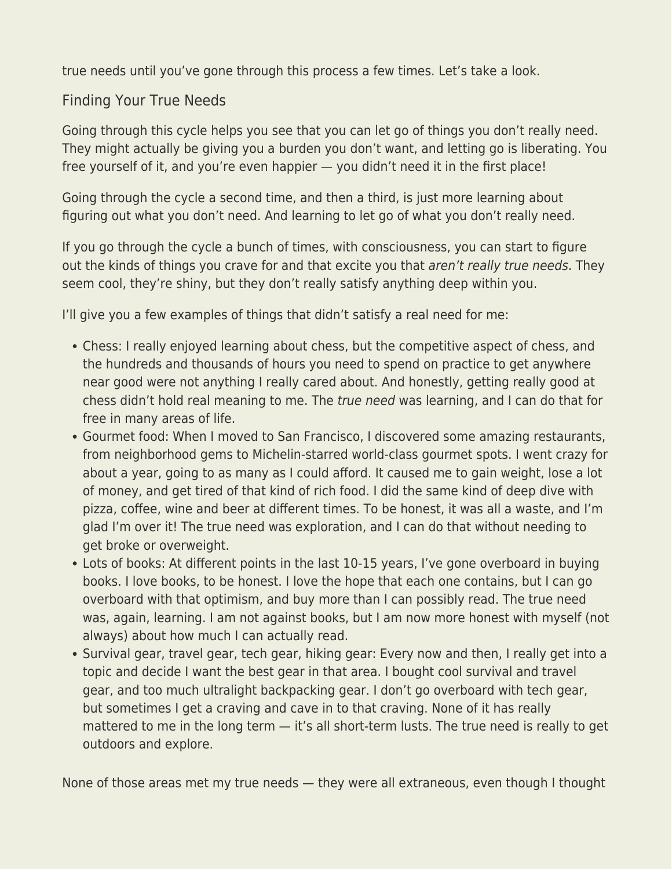true needs until you've gone through this process a few times. Let's take a look.

## Finding Your True Needs

Going through this cycle helps you see that you can let go of things you don't really need. They might actually be giving you a burden you don't want, and letting go is liberating. You free yourself of it, and you're even happier — you didn't need it in the first place!

Going through the cycle a second time, and then a third, is just more learning about figuring out what you don't need. And learning to let go of what you don't really need.

If you go through the cycle a bunch of times, with consciousness, you can start to figure out the kinds of things you crave for and that excite you that aren't really true needs. They seem cool, they're shiny, but they don't really satisfy anything deep within you.

I'll give you a few examples of things that didn't satisfy a real need for me:

- Chess: I really enjoyed learning about chess, but the competitive aspect of chess, and the hundreds and thousands of hours you need to spend on practice to get anywhere near good were not anything I really cared about. And honestly, getting really good at chess didn't hold real meaning to me. The true need was learning, and I can do that for free in many areas of life.
- Gourmet food: When I moved to San Francisco, I discovered some amazing restaurants, from neighborhood gems to Michelin-starred world-class gourmet spots. I went crazy for about a year, going to as many as I could afford. It caused me to gain weight, lose a lot of money, and get tired of that kind of rich food. I did the same kind of deep dive with pizza, coffee, wine and beer at different times. To be honest, it was all a waste, and I'm glad I'm over it! The true need was exploration, and I can do that without needing to get broke or overweight.
- Lots of books: At different points in the last 10-15 years, I've gone overboard in buying books. I love books, to be honest. I love the hope that each one contains, but I can go overboard with that optimism, and buy more than I can possibly read. The true need was, again, learning. I am not against books, but I am now more honest with myself (not always) about how much I can actually read.
- Survival gear, travel gear, tech gear, hiking gear: Every now and then, I really get into a topic and decide I want the best gear in that area. I bought cool survival and travel gear, and too much ultralight backpacking gear. I don't go overboard with tech gear, but sometimes I get a craving and cave in to that craving. None of it has really mattered to me in the long term — it's all short-term lusts. The true need is really to get outdoors and explore.

None of those areas met my true needs — they were all extraneous, even though I thought